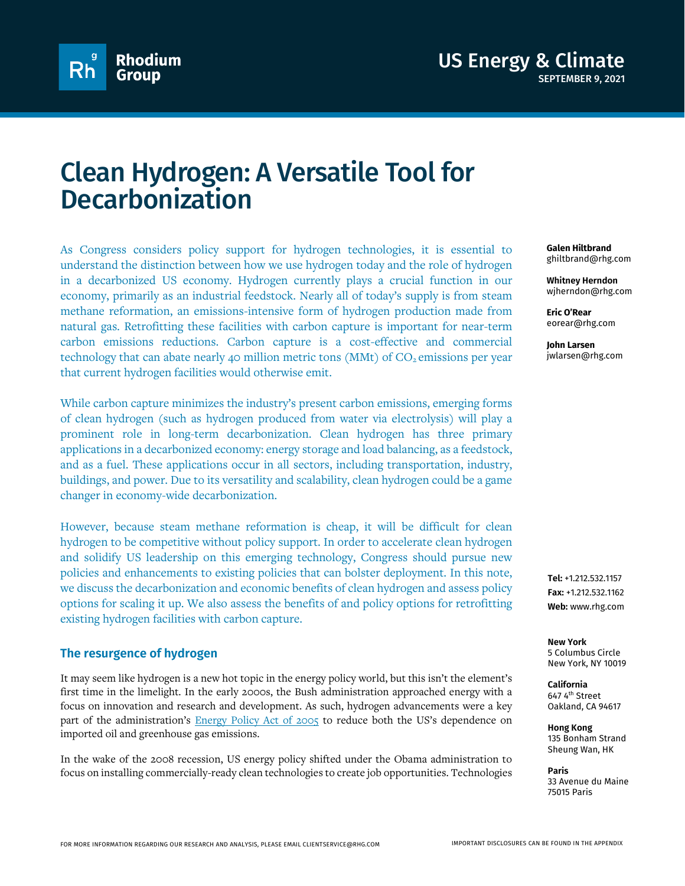

# Clean Hydrogen: A Versatile Tool for **Decarbonization**

As Congress considers policy support for hydrogen technologies, it is essential to understand the distinction between how we use hydrogen today and the role of hydrogen in a decarbonized US economy. Hydrogen currently plays a crucial function in our economy, primarily as an industrial feedstock. Nearly all of today's supply is from steam methane reformation, an emissions-intensive form of hydrogen production made from natural gas. Retrofitting these facilities with carbon capture is important for near-term carbon emissions reductions. Carbon capture is a cost-effective and commercial technology that can abate nearly 40 million metric tons (MMt) of  $CO<sub>2</sub>$  emissions per year that current hydrogen facilities would otherwise emit.

While carbon capture minimizes the industry's present carbon emissions, emerging forms of clean hydrogen (such as hydrogen produced from water via electrolysis) will play a prominent role in long-term decarbonization. Clean hydrogen has three primary applications in a decarbonized economy: energy storage and load balancing, as a feedstock, and as a fuel. These applications occur in all sectors, including transportation, industry, buildings, and power. Due to its versatility and scalability, clean hydrogen could be a game changer in economy-wide decarbonization.

However, because steam methane reformation is cheap, it will be difficult for clean hydrogen to be competitive without policy support. In order to accelerate clean hydrogen and solidify US leadership on this emerging technology, Congress should pursue new policies and enhancements to existing policies that can bolster deployment. In this note, we discuss the decarbonization and economic benefits of clean hydrogen and assess policy options for scaling it up. We also assess the benefits of and policy options for retrofitting existing hydrogen facilities with carbon capture.

## **The resurgence of hydrogen**

It may seem like hydrogen is a new hot topic in the energy policy world, but this isn't the element's first time in the limelight. In the early 2000s, the Bush administration approached energy with a focus on innovation and research and development. As such, hydrogen advancements were a key part of the administration's **Energy Policy Act of 2005** to reduce both the US's dependence on imported oil and greenhouse gas emissions.

In the wake of the 2008 recession, US energy policy shifted under the Obama administration to focus on installing commercially-ready clean technologies to create job opportunities. Technologies **Galen Hiltbrand** ghiltbrand@rhg.com

**Whitney Herndon** wjherndon@rhg.com

**Eric O'Rear** eorear@rhg.com

**John Larsen** jwlarsen@rhg.com

**Tel:** +1.212.532.1157 **Fax:** +1.212.532.1162 **Web:** www.rhg.com

**New York** 5 Columbus Circle New York, NY 10019

**California** 647 4<sup>th</sup> Street Oakland, CA 94617

**Hong Kong** 135 Bonham Strand Sheung Wan, HK

**Paris** 33 Avenue du Maine 75015 Paris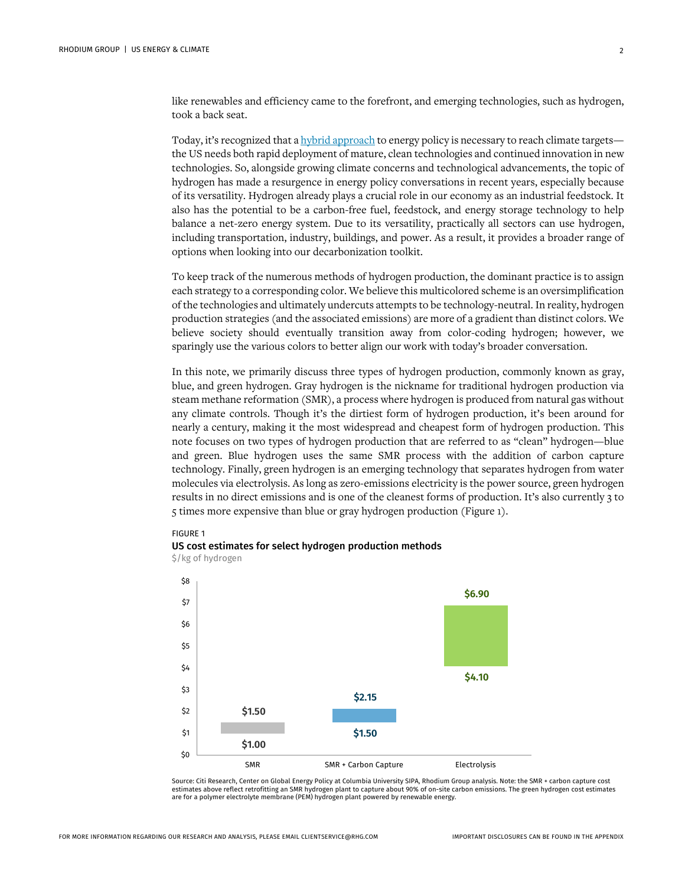like renewables and efficiency came to the forefront, and emerging technologies, such as hydrogen, took a back seat.

Today, it's recognized that [a hybrid approach](https://www.nap.edu/read/25932/chapter/1) to energy policy is necessary to reach climate targets the US needs both rapid deployment of mature, clean technologies and continued innovation in new technologies. So, alongside growing climate concerns and technological advancements, the topic of hydrogen has made a resurgence in energy policy conversations in recent years, especially because of its versatility. Hydrogen already plays a crucial role in our economy as an industrial feedstock. It also has the potential to be a carbon-free fuel, feedstock, and energy storage technology to help balance a net-zero energy system. Due to its versatility, practically all sectors can use hydrogen, including transportation, industry, buildings, and power. As a result, it provides a broader range of options when looking into our decarbonization toolkit.

To keep track of the numerous methods of hydrogen production, the dominant practice is to assign each strategy to a corresponding color. We believe this multicolored scheme is an oversimplification of the technologies and ultimately undercuts attempts to be technology-neutral. In reality, hydrogen production strategies (and the associated emissions) are more of a gradient than distinct colors. We believe society should eventually transition away from color-coding hydrogen; however, we sparingly use the various colors to better align our work with today's broader conversation.

In this note, we primarily discuss three types of hydrogen production, commonly known as gray, blue, and green hydrogen. Gray hydrogen is the nickname for traditional hydrogen production via steam methane reformation (SMR), a process where hydrogen is produced from natural gas without any climate controls. Though it's the dirtiest form of hydrogen production, it's been around for nearly a century, making it the most widespread and cheapest form of hydrogen production. This note focuses on two types of hydrogen production that are referred to as "clean" hydrogen—blue and green. Blue hydrogen uses the same SMR process with the addition of carbon capture technology. Finally, green hydrogen is an emerging technology that separates hydrogen from water molecules via electrolysis. As long as zero-emissions electricity is the power source, green hydrogen results in no direct emissions and is one of the cleanest forms of production. It's also currently 3 to 5 times more expensive than blue or gray hydrogen production (Figure 1).

#### FIGURE 1







Source: Citi Research, Center on Global Energy Policy at Columbia University SIPA, Rhodium Group analysis. Note: the SMR + carbon capture cost<br>estimates above reflect retrofitting an SMR hydrogen plant to capture about 90% are for a polymer electrolyte membrane (PEM) hydrogen plant powered by renewable energy.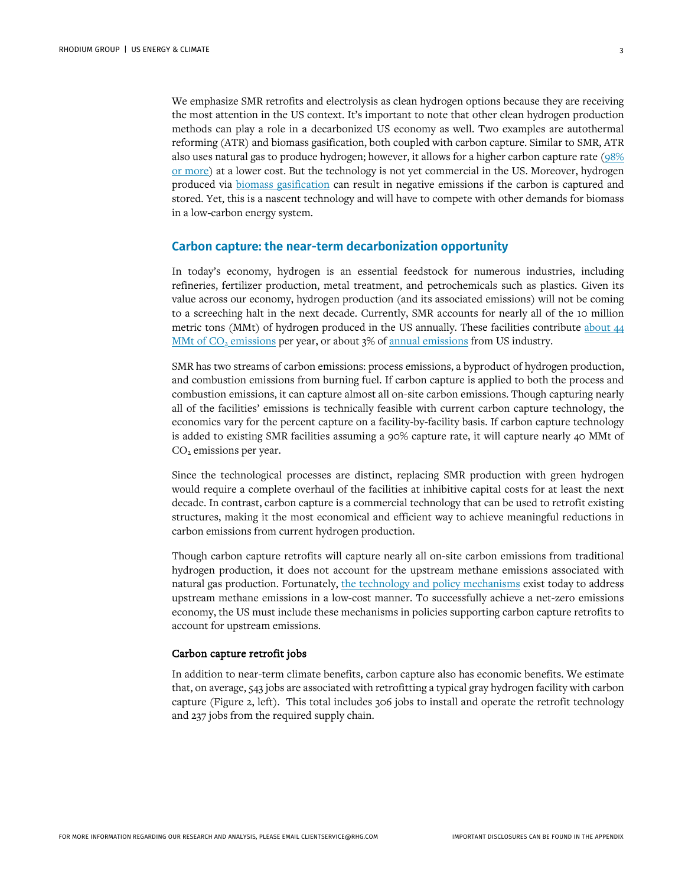We emphasize SMR retrofits and electrolysis as clean hydrogen options because they are receiving the most attention in the US context. It's important to note that other clean hydrogen production methods can play a role in a decarbonized US economy as well. Two examples are autothermal reforming (ATR) and biomass gasification, both coupled with carbon capture. Similar to SMR, ATR also uses natural gas to produce hydrogen; however, it allows for a higher carbon capture rate [\(98%](https://pubs.rsc.org/en/content/articlelanding/2020/se/d0se00222d)  [or more\)](https://pubs.rsc.org/en/content/articlelanding/2020/se/d0se00222d) at a lower cost. But the technology is not yet commercial in the US. Moreover, hydrogen produced via [biomass gasification](https://www.iea.org/articles/etp-clean-energy-technology-guide) can result in negative emissions if the carbon is captured and stored. Yet, this is a nascent technology and will have to compete with other demands for biomass in a low-carbon energy system.

## **Carbon capture: the near-term decarbonization opportunity**

In today's economy, hydrogen is an essential feedstock for numerous industries, including refineries, fertilizer production, metal treatment, and petrochemicals such as plastics. Given its value across our economy, hydrogen production (and its associated emissions) will not be coming to a screeching halt in the next decade. Currently, SMR accounts for nearly all of the 10 million metric tons (MMt) of hydrogen produced in the US annually. These facilities contribute [about](https://ghgdata.epa.gov/ghgp/main.do) 44 MMt of  $CO<sub>2</sub>$  emissions per year, or about 3% of [annual emissions](https://rhg.com/research/preliminary-us-emissions-2020/) from US industry.

SMR has two streams of carbon emissions: process emissions, a byproduct of hydrogen production, and combustion emissions from burning fuel. If carbon capture is applied to both the process and combustion emissions, it can capture almost all on-site carbon emissions. Though capturing nearly all of the facilities' emissions is technically feasible with current carbon capture technology, the economics vary for the percent capture on a facility-by-facility basis. If carbon capture technology is added to existing SMR facilities assuming a 90% capture rate, it will capture nearly 40 MMt of CO2 emissions per year.

Since the technological processes are distinct, replacing SMR production with green hydrogen would require a complete overhaul of the facilities at inhibitive capital costs for at least the next decade. In contrast, carbon capture is a commercial technology that can be used to retrofit existing structures, making it the most economical and efficient way to achieve meaningful reductions in carbon emissions from current hydrogen production.

Though carbon capture retrofits will capture nearly all on-site carbon emissions from traditional hydrogen production, it does not account for the upstream methane emissions associated with natural gas production. Fortunately, [the technology and policy mechanisms](https://www.catf.us/resource/reducing-methane-from-oil-and-gas/) exist today to address upstream methane emissions in a low-cost manner. To successfully achieve a net-zero emissions economy, the US must include these mechanisms in policies supporting carbon capture retrofits to account for upstream emissions.

#### Carbon capture retrofit jobs

In addition to near-term climate benefits, carbon capture also has economic benefits. We estimate that, on average, 543 jobs are associated with retrofitting a typical gray hydrogen facility with carbon capture (Figure 2, left). This total includes 306 jobs to install and operate the retrofit technology and 237 jobs from the required supply chain.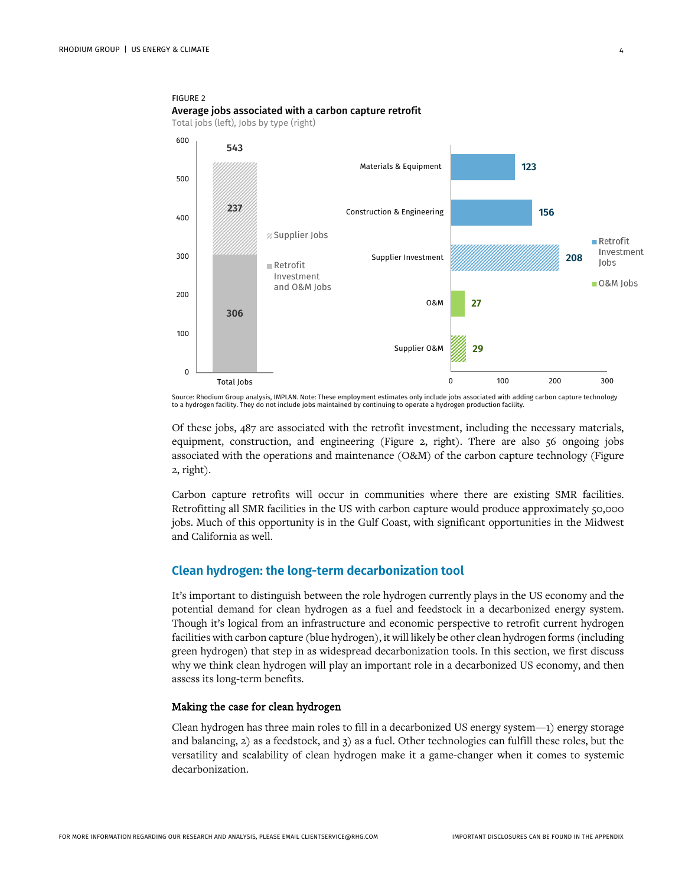FIGURE 2

Average jobs associated with a carbon capture retrofit Total jobs (left), Jobs by type (right) 600 **543 123** Materials & Equipment500 **237** Construction & Engineering **156** 400 Supplier Jobs  $Retrofit$ Investment 300 Supplier Investment **208** Jobs Retrofit Investment O&M Jobs and O&M Jobs 200 O&M **27 306** 100 Supplier O&M **29** 0 0 100 200 300 Total Jobs

Source: Rhodium Group analysis, IMPLAN. Note: These employment estimates only include jobs associated with adding carbon capture technology to a hydrogen facility. They do not include jobs maintained by continuing to operate a hydrogen production facility.

Of these jobs, 487 are associated with the retrofit investment, including the necessary materials, equipment, construction, and engineering (Figure 2, right). There are also 56 ongoing jobs associated with the operations and maintenance (O&M) of the carbon capture technology (Figure 2, right).

Carbon capture retrofits will occur in communities where there are existing SMR facilities. Retrofitting all SMR facilities in the US with carbon capture would produce approximately 50,000 jobs. Much of this opportunity is in the Gulf Coast, with significant opportunities in the Midwest and California as well.

## **Clean hydrogen: the long-term decarbonization tool**

It's important to distinguish between the role hydrogen currently plays in the US economy and the potential demand for clean hydrogen as a fuel and feedstock in a decarbonized energy system. Though it's logical from an infrastructure and economic perspective to retrofit current hydrogen facilities with carbon capture (blue hydrogen), it will likely be other clean hydrogen forms (including green hydrogen) that step in as widespread decarbonization tools. In this section, we first discuss why we think clean hydrogen will play an important role in a decarbonized US economy, and then assess its long-term benefits.

#### Making the case for clean hydrogen

Clean hydrogen has three main roles to fill in a decarbonized US energy system—1) energy storage and balancing, 2) as a feedstock, and 3) as a fuel. Other technologies can fulfill these roles, but the versatility and scalability of clean hydrogen make it a game-changer when it comes to systemic decarbonization.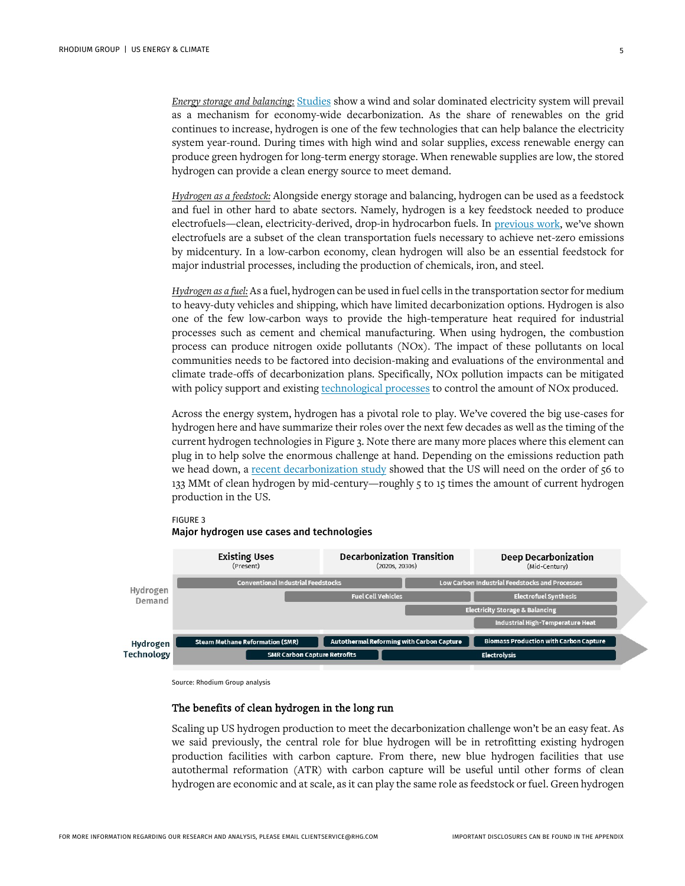*Energy storage and balancing:* [Studies](https://www.sciencedirect.com/science/article/abs/pii/S2666278721000271) show a wind and solar dominated electricity system will prevail as a mechanism for economy-wide decarbonization. As the share of renewables on the grid continues to increase, hydrogen is one of the few technologies that can help balance the electricity system year-round. During times with high wind and solar supplies, excess renewable energy can produce green hydrogen for long-term energy storage. When renewable supplies are low, the stored hydrogen can provide a clean energy source to meet demand.

*Hydrogen as a feedstock:* Alongside energy storage and balancing, hydrogen can be used as a feedstock and fuel in other hard to abate sectors. Namely, hydrogen is a key feedstock needed to produce electrofuels—clean, electricity-derived, drop-in hydrocarbon fuels. In [previous work,](https://rhg.com/research/closing-the-transportation-emissions-gap-with-clean-fuels/) we've shown electrofuels are a subset of the clean transportation fuels necessary to achieve net-zero emissions by midcentury. In a low-carbon economy, clean hydrogen will also be an essential feedstock for major industrial processes, including the production of chemicals, iron, and steel.

*Hydrogen as a fuel:* As a fuel, hydrogen can be used in fuel cells in the transportation sector for medium to heavy-duty vehicles and shipping, which have limited decarbonization options. Hydrogen is also one of the few low-carbon ways to provide the high-temperature heat required for industrial processes such as cement and chemical manufacturing. When using hydrogen, the combustion process can produce nitrogen oxide pollutants (NOx). The impact of these pollutants on local communities needs to be factored into decision-making and evaluations of the environmental and climate trade-offs of decarbonization plans. Specifically, NOx pollution impacts can be mitigated with policy support and existin[g technological processes](https://www.thechemicalengineer.com/features/hydrogen-the-burning-question/) to control the amount of NOx produced.

Across the energy system, hydrogen has a pivotal role to play. We've covered the big use-cases for hydrogen here and have summarize their roles over the next few decades as well as the timing of the current hydrogen technologies in Figure 3. Note there are many more places where this element can plug in to help solve the enormous challenge at hand. Depending on the emissions reduction path we head down, a [recent decarbonization study](https://www.nap.edu/read/25932/chapter/1) showed that the US will need on the order of 56 to 133 MMt of clean hydrogen by mid-century—roughly 5 to 15 times the amount of current hydrogen production in the US.



#### FIGURE 3 Major hydrogen use cases and technologies

Source: Rhodium Group analysis

## The benefits of clean hydrogen in the long run

Scaling up US hydrogen production to meet the decarbonization challenge won't be an easy feat. As we said previously, the central role for blue hydrogen will be in retrofitting existing hydrogen production facilities with carbon capture. From there, new blue hydrogen facilities that use autothermal reformation (ATR) with carbon capture will be useful until other forms of clean hydrogen are economic and at scale, as it can play the same role as feedstock or fuel. Green hydrogen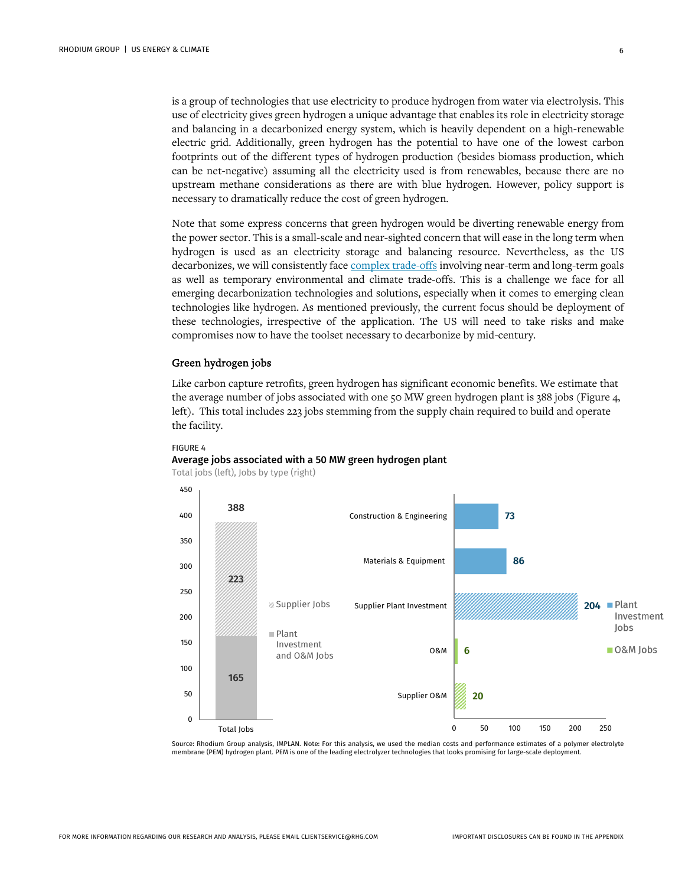is a group of technologies that use electricity to produce hydrogen from water via electrolysis. This use of electricity gives green hydrogen a unique advantage that enables its role in electricity storage and balancing in a decarbonized energy system, which is heavily dependent on a high-renewable electric grid. Additionally, green hydrogen has the potential to have one of the lowest carbon footprints out of the different types of hydrogen production (besides biomass production, which can be net-negative) assuming all the electricity used is from renewables, because there are no upstream methane considerations as there are with blue hydrogen. However, policy support is necessary to dramatically reduce the cost of green hydrogen.

Note that some express concerns that green hydrogen would be diverting renewable energy from the power sector. This is a small-scale and near-sighted concern that will ease in the long term when hydrogen is used as an electricity storage and balancing resource. Nevertheless, as the US decarbonizes, we will consistently fac[e complex trade-offs](https://www.sciencedirect.com/science/article/abs/pii/S2666278721000271) involving near-term and long-term goals as well as temporary environmental and climate trade-offs. This is a challenge we face for all emerging decarbonization technologies and solutions, especially when it comes to emerging clean technologies like hydrogen. As mentioned previously, the current focus should be deployment of these technologies, irrespective of the application. The US will need to take risks and make compromises now to have the toolset necessary to decarbonize by mid-century.

#### Green hydrogen jobs

FIGURE 4

Like carbon capture retrofits, green hydrogen has significant economic benefits. We estimate that the average number of jobs associated with one 50 MW green hydrogen plant is 388 jobs (Figure 4, left). This total includes 223 jobs stemming from the supply chain required to build and operate the facility.



#### Average jobs associated with a 50 MW green hydrogen plant

Total jobs (left), Jobs by type (right)

Source: Rhodium Group analysis, IMPLAN. Note: For this analysis, we used the median costs and performance estimates of a polymer electrolyte membrane (PEM) hydrogen plant. PEM is one of the leading electrolyzer technologies that looks promising for large-scale deployment.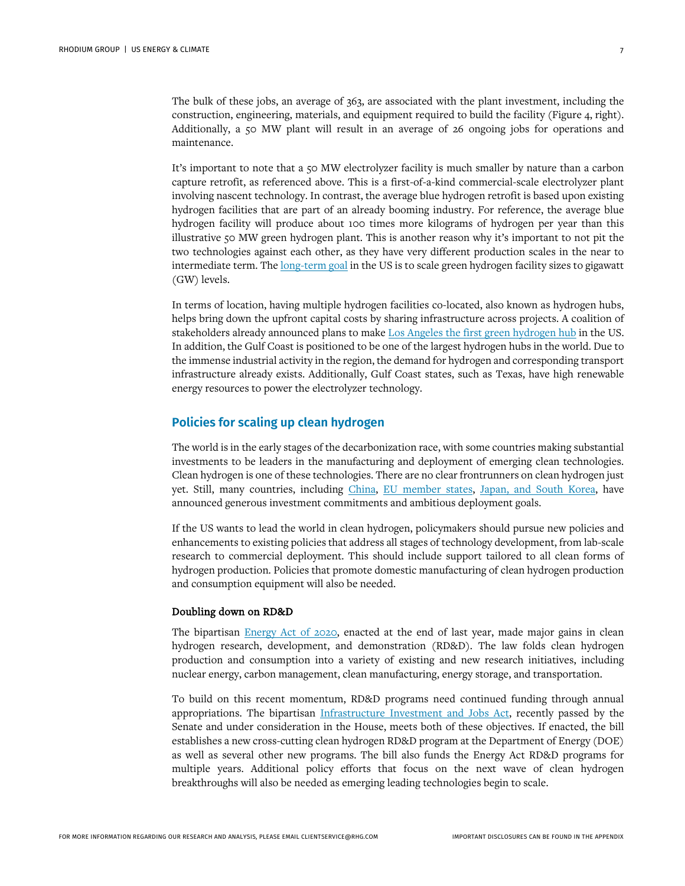The bulk of these jobs, an average of 363, are associated with the plant investment, including the construction, engineering, materials, and equipment required to build the facility (Figure 4, right). Additionally, a 50 MW plant will result in an average of 26 ongoing jobs for operations and maintenance.

It's important to note that a 50 MW electrolyzer facility is much smaller by nature than a carbon capture retrofit, as referenced above. This is a first-of-a-kind commercial-scale electrolyzer plant involving nascent technology. In contrast, the average blue hydrogen retrofit is based upon existing hydrogen facilities that are part of an already booming industry. For reference, the average blue hydrogen facility will produce about 100 times more kilograms of hydrogen per year than this illustrative 50 MW green hydrogen plant. This is another reason why it's important to not pit the two technologies against each other, as they have very different production scales in the near to intermediate term. The [long-term goal](https://www.energy.gov/sites/default/files/2021-06/rfi-de-foa-0002529.pdf) in the US is to scale green hydrogen facility sizes to gigawatt (GW) levels.

In terms of location, having multiple hydrogen facilities co-located, also known as hydrogen hubs, helps bring down the upfront capital costs by sharing infrastructure across projects. A coalition of stakeholders already announced plans to make [Los Angeles the first green hydrogen hub](https://www.spglobal.com/marketintelligence/en/news-insights/latest-news-headlines/los-angeles-aims-to-be-nation-s-1st-green-hydrogen-hub-64376930) in the US. In addition, the Gulf Coast is positioned to be one of the largest hydrogen hubs in the world. Due to the immense industrial activity in the region, the demand for hydrogen and corresponding transport infrastructure already exists. Additionally, Gulf Coast states, such as Texas, have high renewable energy resources to power the electrolyzer technology.

## **Policies for scaling up clean hydrogen**

The world is in the early stages of the decarbonization race, with some countries making substantial investments to be leaders in the manufacturing and deployment of emerging clean technologies. Clean hydrogen is one of these technologies. There are no clear frontrunners on clean hydrogen just yet. Still, many countries, including [China,](https://hydrogencouncil.com/wp-content/uploads/2021/07/Hydrogen-Insights-July-2021-Executive-summary.pdf) [EU member states,](https://www.fch.europa.eu/sites/default/files/Hydrogen%20Roadmap%20Europe_Report.pdf) [Japan, and South Korea,](https://www.bennettjones.com/Blogs-Section/Hydrogen-around-the-World-Enhancing-Japanese-and-South-Korean-Energy-Security) have announced generous investment commitments and ambitious deployment goals.

If the US wants to lead the world in clean hydrogen, policymakers should pursue new policies and enhancements to existing policies that address all stages of technology development, from lab-scale research to commercial deployment. This should include support tailored to all clean forms of hydrogen production. Policies that promote domestic manufacturing of clean hydrogen production and consumption equipment will also be needed.

#### Doubling down on RD&D

The bipartisan [Energy Act of 2020,](https://www.energy.senate.gov/services/files/32B4E9F4-F13A-44F6-A0CA-E10B3392D47A#:%7E:text=Section%203202%20establishes%20an%20energy,energy%20from%20renewable%20energy%20sources.) enacted at the end of last year, made major gains in clean hydrogen research, development, and demonstration (RD&D). The law folds clean hydrogen production and consumption into a variety of existing and new research initiatives, including nuclear energy, carbon management, clean manufacturing, energy storage, and transportation.

To build on this recent momentum, RD&D programs need continued funding through annual appropriations. The bipartisan [Infrastructure Investment and Jobs Act,](https://www.whitehouse.gov/briefing-room/statements-releases/2021/08/02/updated-fact-sheet-bipartisan-infrastructure-investment-and-jobs-act/) recently passed by the Senate and under consideration in the House, meets both of these objectives. If enacted, the bill establishes a new cross-cutting clean hydrogen RD&D program at the Department of Energy (DOE) as well as several other new programs. The bill also funds the Energy Act RD&D programs for multiple years. Additional policy efforts that focus on the next wave of clean hydrogen breakthroughs will also be needed as emerging leading technologies begin to scale.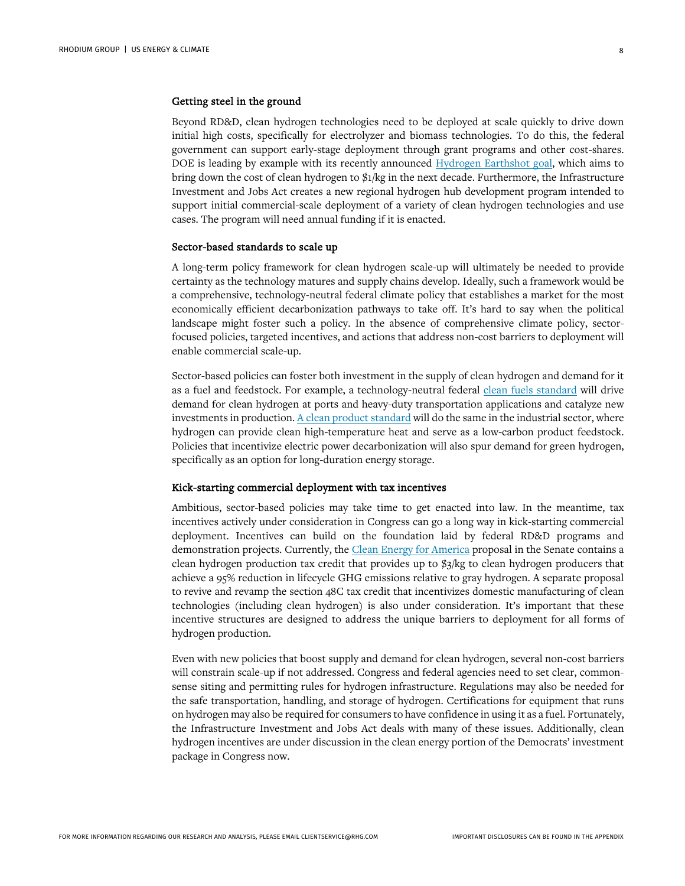# Getting steel in the ground

Beyond RD&D, clean hydrogen technologies need to be deployed at scale quickly to drive down initial high costs, specifically for electrolyzer and biomass technologies. To do this, the federal government can support early-stage deployment through grant programs and other cost-shares. DOE is leading by example with its recently announced [Hydrogen Earthshot goal,](https://www.energy.gov/eere/fuelcells/hydrogen-shot) which aims to bring down the cost of clean hydrogen to \$1/kg in the next decade. Furthermore, the Infrastructure Investment and Jobs Act creates a new regional hydrogen hub development program intended to support initial commercial-scale deployment of a variety of clean hydrogen technologies and use cases. The program will need annual funding if it is enacted.

#### Sector-based standards to scale up

A long-term policy framework for clean hydrogen scale-up will ultimately be needed to provide certainty as the technology matures and supply chains develop. Ideally, such a framework would be a comprehensive, technology-neutral federal climate policy that establishes a market for the most economically efficient decarbonization pathways to take off. It's hard to say when the political landscape might foster such a policy. In the absence of comprehensive climate policy, sectorfocused policies, targeted incentives, and actions that address non-cost barriers to deployment will enable commercial scale-up.

Sector-based policies can foster both investment in the supply of clean hydrogen and demand for it as a fuel and feedstock. For example, a technology-neutral federal [clean fuels standard](https://rhg.com/research/closing-the-transportation-emissions-gap-with-clean-fuels/) will drive demand for clean hydrogen at ports and heavy-duty transportation applications and catalyze new investments in production.  $\underline{A}$  clean product standard will do the same in the industrial sector, where hydrogen can provide clean high-temperature heat and serve as a low-carbon product feedstock. Policies that incentivize electric power decarbonization will also spur demand for green hydrogen, specifically as an option for long-duration energy storage.

#### Kick-starting commercial deployment with tax incentives

Ambitious, sector-based policies may take time to get enacted into law. In the meantime, tax incentives actively under consideration in Congress can go a long way in kick-starting commercial deployment. Incentives can build on the foundation laid by federal RD&D programs and demonstration projects. Currently, th[e Clean Energy for America](https://www.congress.gov/117/bills/s2118/BILLS-117s2118pcs.xml) proposal in the Senate contains a clean hydrogen production tax credit that provides up to \$3/kg to clean hydrogen producers that achieve a 95% reduction in lifecycle GHG emissions relative to gray hydrogen. A separate proposal to revive and revamp the section 48C tax credit that incentivizes domestic manufacturing of clean technologies (including clean hydrogen) is also under consideration. It's important that these incentive structures are designed to address the unique barriers to deployment for all forms of hydrogen production.

Even with new policies that boost supply and demand for clean hydrogen, several non-cost barriers will constrain scale-up if not addressed. Congress and federal agencies need to set clear, commonsense siting and permitting rules for hydrogen infrastructure. Regulations may also be needed for the safe transportation, handling, and storage of hydrogen. Certifications for equipment that runs on hydrogen may also be required for consumers to have confidence in using it as a fuel. Fortunately, the Infrastructure Investment and Jobs Act deals with many of these issues. Additionally, clean hydrogen incentives are under discussion in the clean energy portion of the Democrats' investment package in Congress now.